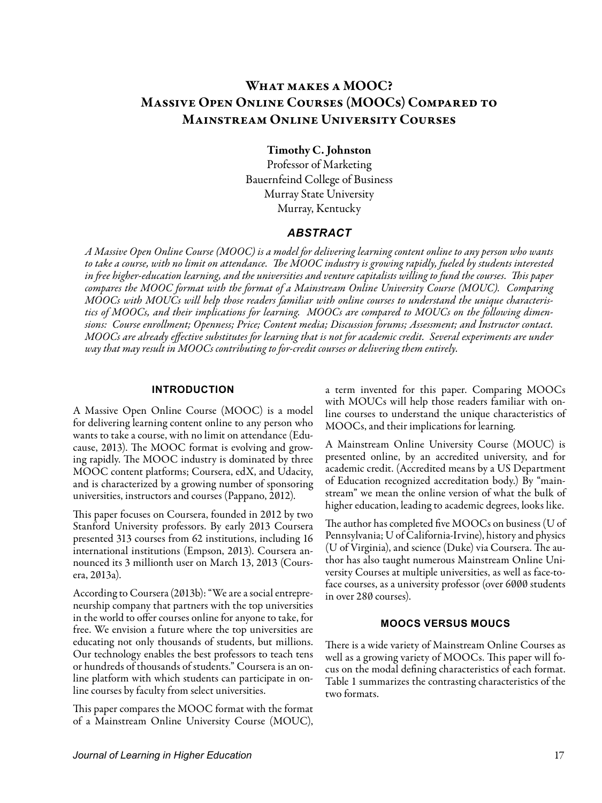# WHAT MAKES A MOOC? Massive Open Online Courses (MOOCs) Compared to Mainstream Online University Courses

Timothy C. Johnston

Professor of Marketing Bauernfeind College of Business Murray State University Murray, Kentucky

## *ABSTRACT*

*A Massive Open Online Course (MOOC) is a model for delivering learning content online to any person who wants to take a course, with no limit on attendance. The MOOC industry is growing rapidly, fueled by students interested in free higher-education learning, and the universities and venture capitalists willing to fund the courses. This paper compares the MOOC format with the format of a Mainstream Online University Course (MOUC). Comparing MOOCs with MOUCs will help those readers familiar with online courses to understand the unique characteristics of MOOCs, and their implications for learning. MOOCs are compared to MOUCs on the following dimensions: Course enrollment; Openness; Price; Content media; Discussion forums; Assessment; and Instructor contact. MOOCs are already effective substitutes for learning that is not for academic credit. Several experiments are under way that may result in MOOCs contributing to for-credit courses or delivering them entirely.* 

## **INTRODUCTION**

A Massive Open Online Course (MOOC) is a model for delivering learning content online to any person who wants to take a course, with no limit on attendance (Educause, 2013). The MOOC format is evolving and growing rapidly. The MOOC industry is dominated by three MOOC content platforms; Coursera, edX, and Udacity, and is characterized by a growing number of sponsoring universities, instructors and courses (Pappano, 2012).

This paper focuses on Coursera, founded in 2012 by two Stanford University professors. By early 2013 Coursera presented 313 courses from 62 institutions, including 16 international institutions (Empson, 2013). Coursera announced its 3 millionth user on March 13, 2013 (Coursera, 2013a).

According to Coursera (2013b): "We are a social entrepreneurship company that partners with the top universities in the world to offer courses online for anyone to take, for free. We envision a future where the top universities are educating not only thousands of students, but millions. Our technology enables the best professors to teach tens or hundreds of thousands of students." Coursera is an online platform with which students can participate in online courses by faculty from select universities.

This paper compares the MOOC format with the format of a Mainstream Online University Course (MOUC),

a term invented for this paper. Comparing MOOCs with MOUCs will help those readers familiar with online courses to understand the unique characteristics of MOOCs, and their implications for learning.

A Mainstream Online University Course (MOUC) is presented online, by an accredited university, and for academic credit. (Accredited means by a US Department of Education recognized accreditation body.) By "mainstream" we mean the online version of what the bulk of higher education, leading to academic degrees, looks like.

The author has completed five MOOCs on business (U of Pennsylvania; U of California-Irvine), history and physics (U of Virginia), and science (Duke) via Coursera. The author has also taught numerous Mainstream Online University Courses at multiple universities, as well as face-toface courses, as a university professor (over 6000 students in over 280 courses).

## **MOOCS VERSUS MOUCS**

There is a wide variety of Mainstream Online Courses as well as a growing variety of MOOCs. This paper will focus on the modal defining characteristics of each format. Table 1 summarizes the contrasting characteristics of the two formats.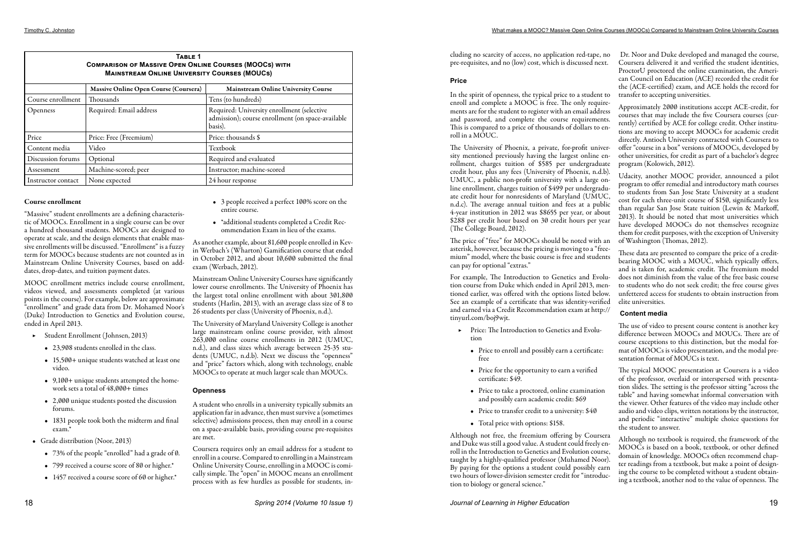#### Course enrollment

"Massive" student enrollments are a defining characteristic of MOOCs. Enrollment in a single course can be over a hundred thousand students. MOOCs are designed to operate at scale, and the design elements that enable massive enrollments will be discussed. "Enrollment" is a fuzzy term for MOOCs because students are not counted as in Mainstream Online University Courses, based on adddates, drop-dates, and tuition payment dates.

- ▶ Student Enrollment (Johnsen, 2013)
	- 23,908 students enrolled in the class.
	- 15,500+ unique students watched at least one video.
	- 9,100+ unique students attempted the homework sets a total of  $48,000+$  times
	- 2,000 unique students posted the discussion forums.
	- 1831 people took both the midterm and final exam.\*
- Grade distribution (Noor, 2013)
	- 73% of the people "enrolled" had a grade of 0.
	- 799 received a course score of 80 or higher.\*
	- 1457 received a course score of 60 or higher.\*

MOOC enrollment metrics include course enrollment, videos viewed, and assessments completed (at various points in the course). For example, below are approximate "enrollment" and grade data from Dr. Mohamed Noor's (Duke) Introduction to Genetics and Evolution course, ended in April 2013.

- 3 people received a perfect 100% score on the entire course.
- \*additional students completed a Credit Recommendation Exam in lieu of the exams.

As another example, about 81,600 people enrolled in Kevin Werbach's (Wharton) Gamification course that ended in October 2012, and about 10,600 submitted the final exam (Werbach, 2012).

Mainstream Online University Courses have significantly lower course enrollments. The University of Phoenix has the largest total online enrollment with about 301,800 students (Harlin, 2013), with an average class size of 8 to 26 students per class (University of Phoenix, n.d.).

The University of Maryland University College is another large mainstream online course provider, with almost 263,000 online course enrollments in 2012 (UMUC, n.d.), and class sizes which average between 25-35 students (UMUC, n.d.b). Next we discuss the "openness" and "price" factors which, along with technology, enable MOOCs to operate at much larger scale than MOUCs.

## **Openness**

A student who enrolls in a university typically submits an application far in advance, then must survive a (sometimes selective) admissions process, then may enroll in a course on a space-available basis, providing course pre-requisites are met.

Coursera requires only an email address for a student to enroll in a course. Compared to enrolling in a Mainstream Online University Course, enrolling in a MOOC is comically simple. The "open" in MOOC means an enrollment process with as few hurdles as possible for students, including no scarcity of access, no application red-tape, no pre-requisites, and no (low) cost, which is discussed next.

#### **Price**

In the spirit of openness, the typical price to a student to enroll and complete a MOOC is free. The only requirements are for the student to register with an email address and password, and complete the course requirements. This is compared to a price of thousands of dollars to enroll in a MOUC.

> The use of video to present course content is another key difference between MOOCs and MOUCs. There are of course exceptions to this distinction, but the modal format of MOOCs is video presentation, and the modal presentation format of MOUCs is text.

The University of Phoenix, a private, for-profit university mentioned previously having the largest online enrollment, charges tuition of \$585 per undergraduate credit hour, plus any fees (University of Phoenix, n.d.b). UMUC, a public non-profit university with a large online enrollment, charges tuition of \$499 per undergraduate credit hour for nonresidents of Maryland (UMUC, n.d.c). The average annual tuition and fees at a public 4-year institution in 2012 was \$8655 per year, or about \$288 per credit hour based on 30 credit hours per year (The College Board, 2012).

The price of "free" for MOOCs should be noted with an asterisk, however, because the pricing is moving to a "freemium" model, where the basic course is free and students can pay for optional "extras."

For example, The Introduction to Genetics and Evolution course from Duke which ended in April 2013, mentioned earlier, was offered with the options listed below. See an example of a certificate that was identity-verified and earned via a Credit Recommendation exam at http:// tinyurl.com/boj9wjt.

- ▶ Price: The Introduction to Genetics and Evolution
	- Price to enroll and possibly earn a certificate: free
	- Price for the opportunity to earn a verified certificate: \$49.
	- Price to take a proctored, online examination and possibly earn academic credit: \$69
	- Price to transfer credit to a university: \$40
	- Total price with options: \$158.

Although not free, the freemium offering by Coursera and Duke was still a good value. A student could freely enroll in the Introduction to Genetics and Evolution course, taught by a highly-qualified professor (Muhamed Noor). By paying for the options a student could possibly earn two hours of lower-division semester credit for "introduction to biology or general science."

- Dr. Noor and Duke developed and managed the course, Coursera delivered it and verified the student identities, ProctorU proctored the online examination, the American Council on Education (ACE) recorded the credit for the (ACE-certified) exam, and ACE holds the record for transfer to accepting universities.
- Approximately 2000 institutions accept ACE-credit, for courses that may include the five Coursera courses (currently) certified by ACE for college credit. Other institutions are moving to accept MOOCs for academic credit directly. Antioch University contracted with Coursera to offer "course in a box" versions of MOOCs, developed by other universities, for credit as part of a bachelor's degree program (Kolowich, 2012).
- Udacity, another MOOC provider, announced a pilot program to offer remedial and introductory math courses to students from San Jose State University at a student cost for each three-unit course of \$150, significantly less than regular San Jose State tuition (Lewin & Markoff, 2013). It should be noted that most universities which have developed MOOCs do not themselves recognize them for credit purposes, with the exception of University of Washington (Thomas, 2012).
- These data are presented to compare the price of a creditbearing MOOC with a MOUC, which typically offers, and is taken for, academic credit. The freemium model does not diminish from the value of the free basic course to students who do not seek credit; the free course gives unfettered access for students to obtain instruction from elite universities.

# **Content media**

The typical MOOC presentation at Coursera is a video of the professor, overlaid or interspersed with presentation slides. The setting is the professor sitting "across the table" and having somewhat informal conversation with the viewer. Other features of the video may include other audio and video clips, written notations by the instructor, and periodic "interactive" multiple choice questions for the student to answer.

Although no textbook is required, the framework of the MOOCs is based on a book, textbook, or other defined domain of knowledge. MOOCs often recommend chapter readings from a textbook, but make a point of designing the course to be completed without a student obtaining a textbook, another nod to the value of openness. The

| TABLE <sub>1</sub><br><b>COMPARISON OF MASSIVE OPEN ONLINE COURSES (MOOCS) WITH</b><br><b>MAINSTREAM ONLINE UNIVERSITY COURSES (MOUCS)</b> |                                              |                                                                                                            |
|--------------------------------------------------------------------------------------------------------------------------------------------|----------------------------------------------|------------------------------------------------------------------------------------------------------------|
|                                                                                                                                            | <b>Massive Online Open Course (Coursera)</b> | Mainstream Online University Course                                                                        |
| Course enrollment                                                                                                                          | Thousands                                    | Tens (to hundreds)                                                                                         |
| Openness                                                                                                                                   | Required: Email address                      | Required: University enrollment (selective<br>admission); course enrollment (on space-available<br>basis). |
| Price                                                                                                                                      | Price: Free (Freemium)                       | Price: thousands \$                                                                                        |
| Content media                                                                                                                              | Video                                        | Textbook                                                                                                   |
| Discussion forums                                                                                                                          | Optional                                     | Required and evaluated                                                                                     |
| Assessment                                                                                                                                 | Machine-scored; peer                         | Instructor; machine-scored                                                                                 |
| Instructor contact                                                                                                                         | None expected                                | 24 hour response                                                                                           |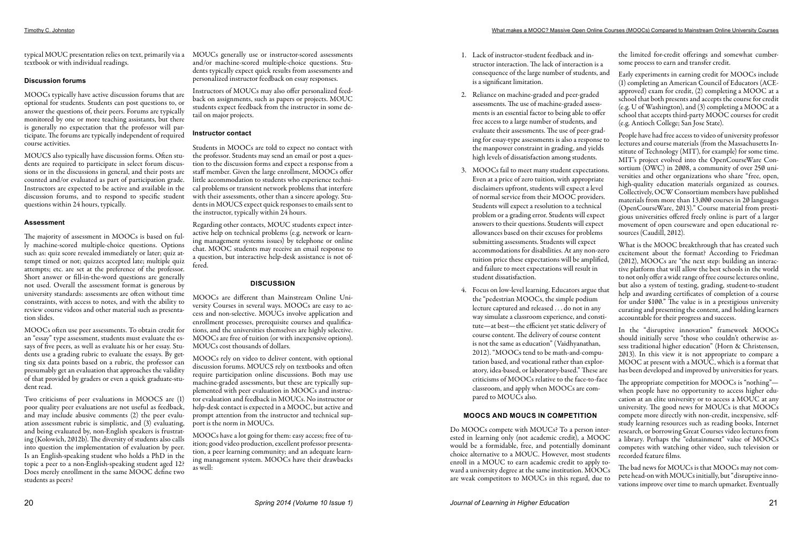textbook or with individual readings.

#### **Discussion forums**

MOOCs typically have active discussion forums that are optional for students. Students can post questions to, or answer the questions of, their peers. Forums are typically monitored by one or more teaching assistants, but there is generally no expectation that the professor will participate. The forums are typically independent of required course activities.

MOUCS also typically have discussion forms. Often students are required to participate in select forum discussions or in the discussions in general, and their posts are counted and/or evaluated as part of participation grade. Instructors are expected to be active and available in the discussion forums, and to respond to specific student questions within 24 hours, typically.

#### **Assessment**

The majority of assessment in MOOCs is based on fully machine-scored multiple-choice questions. Options such as: quiz score revealed immediately or later; quiz attempt timed or not; quizzes accepted late; multiple quiz attempts; etc. are set at the preference of the professor. Short answer or fill-in-the-word questions are generally not used. Overall the assessment format is generous by university standards: assessments are often without time constraints, with access to notes, and with the ability to review course videos and other material such as presentation slides.

typical MOUC presentation relies on text, primarily via a MOUCs generally use or instructor-scored assessments and/or machine-scored multiple-choice questions. Students typically expect quick results from assessments and personalized instructor feedback on essay responses.

MOOCs often use peer assessments. To obtain credit for an "essay" type assessment, students must evaluate the essays of five peers, as well as evaluate his or her essay. Students use a grading rubric to evaluate the essays. By getting six data points based on a rubric, the professor can presumably get an evaluation that approaches the validity of that provided by graders or even a quick graduate-student read.

Two criticisms of peer evaluations in MOOCS are (1) poor quality peer evaluations are not useful as feedback, and may include abusive comments (2) the peer evaluation assessment rubric is simplistic, and (3) evaluating, and being evaluated by, non-English speakers is frustrating (Kolowich, 2012b). The diversity of students also calls into question the implementation of evaluation by peer. Is an English-speaking student who holds a PhD in the topic a peer to a non-English-speaking student aged 12? Does merely enrollment in the same MOOC define two students as peers?

- 1. Lack of instructor-student feedback and instructor interaction. The lack of interaction is a consequence of the large number of students, and is a significant limitation.
- 2. Reliance on machine-graded and peer-graded assessments. The use of machine-graded assessments is an essential factor to being able to offer free access to a large number of students, and evaluate their assessments. The use of peer-grading for essay-type assessments is also a response to the manpower constraint in grading, and yields high levels of dissatisfaction among students. Early experiments in earning credit for MOOCs include (1) completing an American Council of Educators (ACEapproved) exam for credit, (2) completing a MOOC at a school that both presents and accepts the course for credit (e.g. U of Washington), and (3) completing a MOOC at a school that accepts third-party MOOC courses for credit (e.g. Antioch College; San Jose State). People have had free access to video of university professor lectures and course materials (from the Massachusetts Institute of Technology (MIT), for example) for some time.
- 3. MOOCs fail to meet many student expectations. Even at a price of zero tuition, with appropriate disclaimers upfront, students will expect a level of normal service from their MOOC providers. Students will expect a resolution to a technical problem or a grading error. Students will expect answers to their questions. Students will expect allowances based on their excuses for problems submitting assessments. Students will expect accommodations for disabilities. At any non-zero tuition price these expectations will be amplified, and failure to meet expectations will result in student dissatisfaction. MIT's project evolved into the OpenCourseWare Consortium (OWC) in 2008, a community of over 250 universities and other organizations who share "free, open, high-quality education materials organized as courses. Collectively, OCW Consortium members have published materials from more than 13,000 courses in 20 languages (OpenCourseWare, 2013)." Course material from prestigious universities offered freely online is part of a larger movement of open courseware and open educational resources (Caudill, 2012). What is the MOOC breakthrough that has created such excitement about the format? According to Friedman (2012), MOOCs are "the next step: building an interactive platform that will allow the best schools in the world to not only offer a wide range of free course lectures online,
- 4. Focus on low-level learning. Educators argue that the "pedestrian MOOCs, the simple podium lecture captured and released . . . do not in any way simulate a classroom experience, and constitute—at best—the efficient yet static delivery of course content. The delivery of course content is not the same as education" (Vaidhyanathan, 2012). "MOOCs tend to be math-and-computation based, and vocational rather than exploratory, idea-based, or laboratory-based." These are criticisms of MOOCs relative to the face-to-face classroom, and apply when MOOCs are compared to MOUCs also. help and awarding certificates of completion of a course for under \$100." The value is in a prestigious university curating and presenting the content, and holding learners accountable for their progress and success. In the "disruptive innovation" framework MOOCs should initially serve "those who couldn't otherwise assess traditional higher education" (Horn & Christensen, 2013). In this view it is not appropriate to compare a MOOC at present with a MOUC, which is a format that has been developed and improved by universities for years. The appropriate competition for MOOCs is "nothing"when people have no opportunity to access higher edu-

Instructors of MOUCs may also offer personalized feedback on assignments, such as papers or projects. MOUC students expect feedback from the instructor in some detail on major projects.

## **Instructor contact**

Students in MOOCs are told to expect no contact with the professor. Students may send an email or post a question to the discussion forms and expect a response from a staff member. Given the large enrollment, MOOCs offer little accommodation to students who experience technical problems or transient network problems that interfere with their assessments, other than a sincere apology. Students in MOUCS expect quick responses to emails sent to the instructor, typically within 24 hours.

Regarding other contacts, MOUC students expect interactive help on technical problems (e.g. network or learning management systems issues) by telephone or online chat. MOOC students may receive an email response to a question, but interactive help-desk assistance is not offered.

## **DISCUSSION**

MOOCs are different than Mainstream Online University Courses in several ways. MOOCs are easy to access and non-selective. MOUCs involve application and enrollment processes, prerequisite courses and qualifications, and the universities themselves are highly selective. MOOCs are free of tuition (or with inexpensive options). MOUCs cost thousands of dollars.

MOOCs rely on video to deliver content, with optional discussion forums. MOUCS rely on textbooks and often require participation online discussions. Both may use machine-graded assessments, but these are typically supplemented with peer evaluation in MOOCs and instructor evaluation and feedback in MOUCs. No instructor or help-desk contact is expected in a MOOC, but active and prompt attention from the instructor and technical support is the norm in MOUCs.

MOOCs have a lot going for them: easy access; free of tuition; good video production, excellent professor presentation, a peer learning community; and an adequate learning management system. MOOCs have their drawbacks as well:

## **MOOCS AND MOUCS IN COMPETITION**

Do MOOCs compete with MOUCs? To a person interested in learning only (not academic credit), a MOOC would be a formidable, free, and potentially dominant choice alternative to a MOUC. However, most students enroll in a MOUC to earn academic credit to apply toward a university degree at the same institution. MOOCs are weak competitors to MOUCs in this regard, due to the limited for-credit offerings and somewhat cumbersome process to earn and transfer credit.

but also a system of testing, grading, student-to-student

- cation at an elite university or to access a MOUC at any university. The good news for MOUCs is that MOOCs compete more directly with non-credit, inexpensive, selfstudy learning resources such as reading books, Internet research, or borrowing Great Courses video lectures from a library. Perhaps the "edutainment" value of MOOCs competes with watching other video, such television or recorded feature films.
- The bad news for MOUCs is that MOOCs may not compete head-on with MOUCs initially, but "disruptive innovations improve over time to march upmarket. Eventually